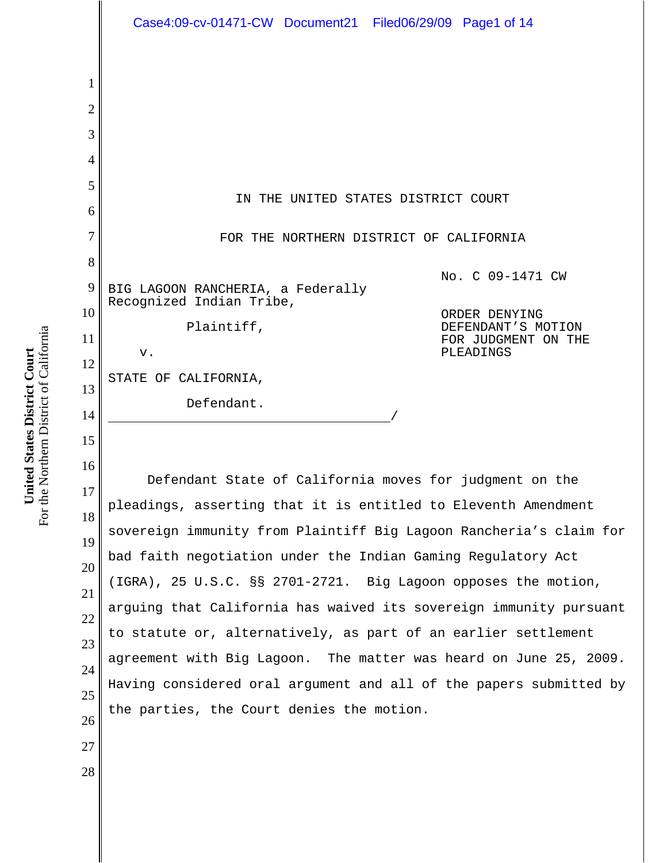1 2 3 4 5 6 7 8 9 10 11 12 13 14 15 16 17 18 19 20 21 22 23 24 25 26 27 28 IN THE UNITED STATES DISTRICT COURT FOR THE NORTHERN DISTRICT OF CALIFORNIA BIG LAGOON RANCHERIA, a Federally Recognized Indian Tribe, Plaintiff, v. STATE OF CALIFORNIA, Defendant. No. C 09-1471 CW ORDER DENYING DEFENDANT'S MOTION FOR JUDGMENT ON THE PLEADINGS Defendant State of California moves for judgment on the pleadings, asserting that it is entitled to Eleventh Amendment sovereign immunity from Plaintiff Big Lagoon Rancheria's claim for bad faith negotiation under the Indian Gaming Regulatory Act (IGRA), 25 U.S.C. §§ 2701-2721. Big Lagoon opposes the motion, arguing that California has waived its sovereign immunity pursuant to statute or, alternatively, as part of an earlier settlement agreement with Big Lagoon. The matter was heard on June 25, 2009. Having considered oral argument and all of the papers submitted by the parties, the Court denies the motion. Case4:09-cv-01471-CW Document21 Filed06/29/09 Page1 of 14

For the Northern District of California For the Northern District of California United States District Court **United States District Court**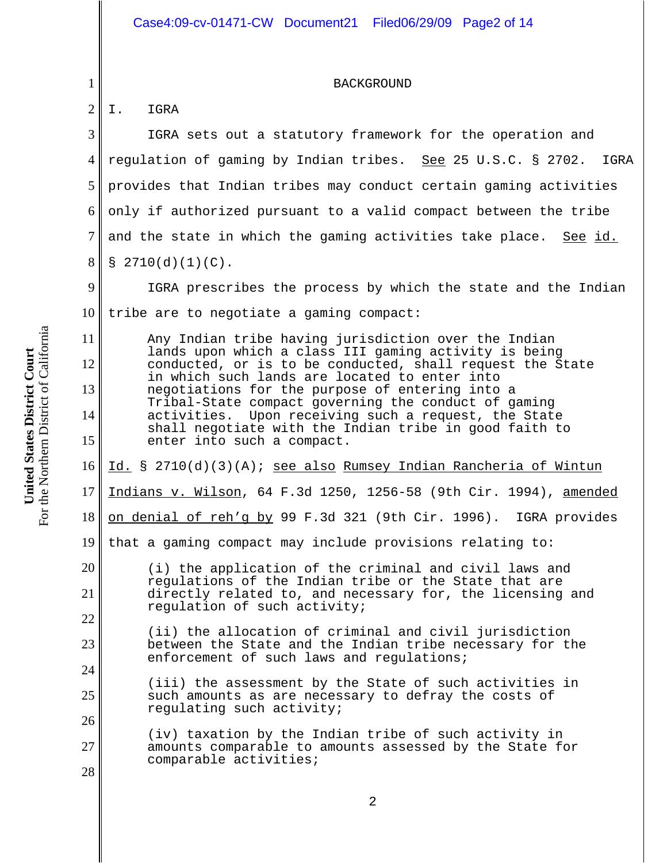BACKGROUND

2 I. IGRA

1

11

12

13

14

15

20

21

22

23

24

25

3 4 5 6 7 8 IGRA sets out a statutory framework for the operation and regulation of gaming by Indian tribes. See 25 U.S.C. § 2702. IGRA provides that Indian tribes may conduct certain gaming activities only if authorized pursuant to a valid compact between the tribe and the state in which the gaming activities take place. See id.  $$2710(d)(1)(C)$ .

9 10 IGRA prescribes the process by which the state and the Indian tribe are to negotiate a gaming compact:

Any Indian tribe having jurisdiction over the Indian lands upon which a class III gaming activity is being conducted, or is to be conducted, shall request the State in which such lands are located to enter into negotiations for the purpose of entering into a Tribal-State compact governing the conduct of gaming activities. Upon receiving such a request, the State shall negotiate with the Indian tribe in good faith to enter into such a compact.

16 Id. § 2710(d)(3)(A); see also Rumsey Indian Rancheria of Wintun

17 Indians v. Wilson, 64 F.3d 1250, 1256-58 (9th Cir. 1994), amended

18 on denial of reh'g by 99 F.3d 321 (9th Cir. 1996). IGRA provides

19 that a gaming compact may include provisions relating to:

- (i) the application of the criminal and civil laws and regulations of the Indian tribe or the State that are directly related to, and necessary for, the licensing and regulation of such activity;
	- (ii) the allocation of criminal and civil jurisdiction between the State and the Indian tribe necessary for the enforcement of such laws and regulations;
	- (iii) the assessment by the State of such activities in such amounts as are necessary to defray the costs of regulating such activity;
- 26 27 28 (iv) taxation by the Indian tribe of such activity in amounts comparable to amounts assessed by the State for comparable activities;

For the Northern District of California For the Northern District of California United States District Court **United States District Court**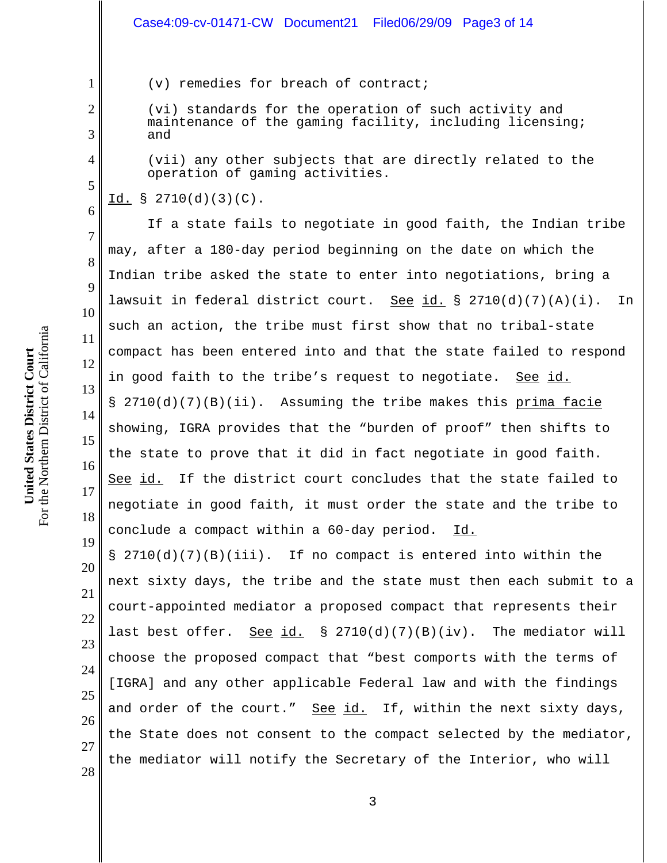(v) remedies for breach of contract;

(vi) standards for the operation of such activity and maintenance of the gaming facility, including licensing; and

(vii) any other subjects that are directly related to the operation of gaming activities.

# Id. § 2710(d)(3)(C).

1

2

3

4

5

6

7

8

9

10

11

12

13

14

15

16

17

18

19

If a state fails to negotiate in good faith, the Indian tribe may, after a 180-day period beginning on the date on which the Indian tribe asked the state to enter into negotiations, bring a lawsuit in federal district court. See id.  $\S$  2710(d)(7)(A)(i). In such an action, the tribe must first show that no tribal-state compact has been entered into and that the state failed to respond in good faith to the tribe's request to negotiate. See id. § 2710(d)(7)(B)(ii). Assuming the tribe makes this prima facie showing, IGRA provides that the "burden of proof" then shifts to the state to prove that it did in fact negotiate in good faith. See id. If the district court concludes that the state failed to negotiate in good faith, it must order the state and the tribe to conclude a compact within a 60-day period. Id.

20 21 22 23 24 25 26 27 28 § 2710(d)(7)(B)(iii). If no compact is entered into within the next sixty days, the tribe and the state must then each submit to a court-appointed mediator a proposed compact that represents their last best offer. See id.  $\S$  2710(d)(7)(B)(iv). The mediator will choose the proposed compact that "best comports with the terms of [IGRA] and any other applicable Federal law and with the findings and order of the court." See id. If, within the next sixty days, the State does not consent to the compact selected by the mediator, the mediator will notify the Secretary of the Interior, who will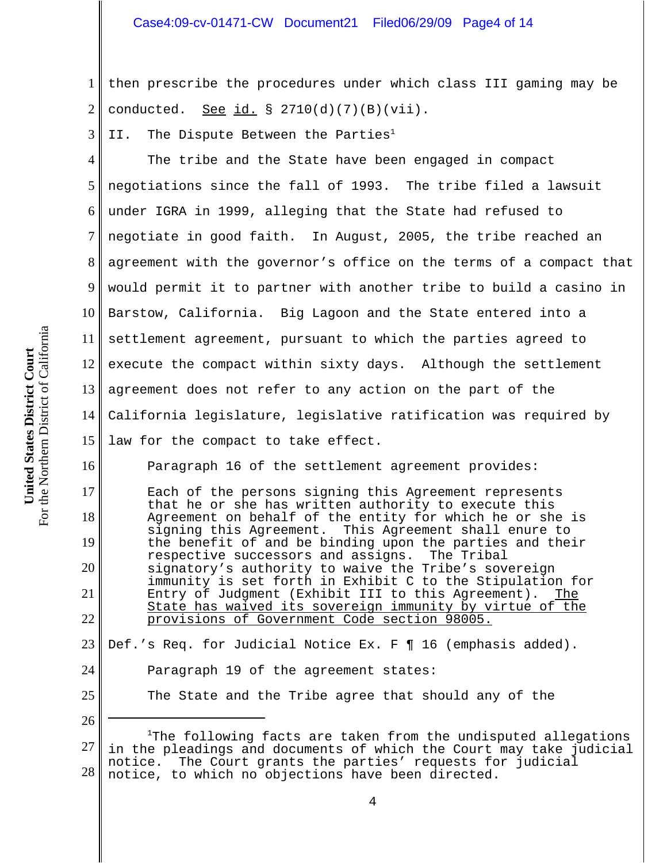1 2 then prescribe the procedures under which class III gaming may be conducted. See id.  $\S$  2710(d)(7)(B)(vii).

3 II. The Dispute Between the Parties<sup>1</sup>

4 5 6 7 8 9 10 11 12 13 14 15 The tribe and the State have been engaged in compact negotiations since the fall of 1993. The tribe filed a lawsuit under IGRA in 1999, alleging that the State had refused to negotiate in good faith. In August, 2005, the tribe reached an agreement with the governor's office on the terms of a compact that would permit it to partner with another tribe to build a casino in Barstow, California. Big Lagoon and the State entered into a settlement agreement, pursuant to which the parties agreed to execute the compact within sixty days. Although the settlement agreement does not refer to any action on the part of the California legislature, legislative ratification was required by law for the compact to take effect.

Paragraph 16 of the settlement agreement provides:

Each of the persons signing this Agreement represents that he or she has written authority to execute this Agreement on behalf of the entity for which he or she is signing this Agreement. This Agreement shall enure to the benefit of and be binding upon the parties and their<br>respective successors and assigns. The Tribal respective successors and assigns. signatory's authority to waive the Tribe's sovereign immunity is set forth in Exhibit C to the Stipulation for Entry of Judgment (Exhibit III to this Agreement). State has waived its sovereign immunity by virtue of the provisions of Government Code section 98005.

23 24 Def.'s Req. for Judicial Notice Ex. F ¶ 16 (emphasis added). Paragraph 19 of the agreement states:

25

26

16

17

18

19

20

21

22

The State and the Tribe agree that should any of the

<sup>27</sup> 28 <sup>1</sup>The following facts are taken from the undisputed allegations in the pleadings and documents of which the Court may take judicial notice. The Court grants the parties' requests for judicial notice, to which no objections have been directed.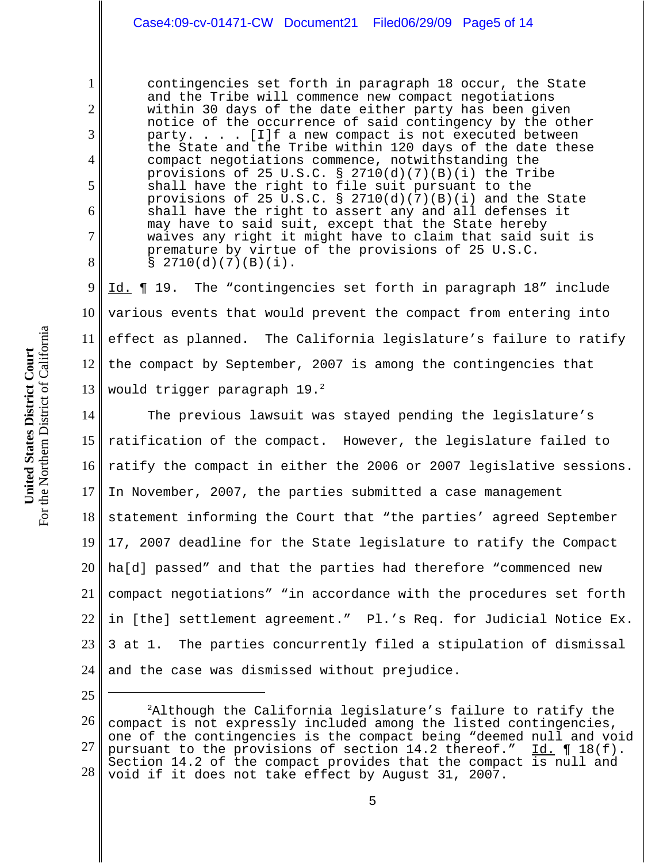## Case4:09-cv-01471-CW Document21 Filed06/29/09 Page5 of 14

contingencies set forth in paragraph 18 occur, the State and the Tribe will commence new compact negotiations within 30 days of the date either party has been given notice of the occurrence of said contingency by the other party. . . . [I]f a new compact is not executed between the State and the Tribe within 120 days of the date these compact negotiations commence, notwithstanding the provisions of 25 U.S.C. §  $2710(d)(7)(B)(i)$  the Tribe shall have the right to file suit pursuant to the provisions of 25 U.S.C. §  $2710(d)(7)(B)(i)$  and the State shall have the right to assert any and all defenses it may have to said suit, except that the State hereby waives any right it might have to claim that said suit is premature by virtue of the provisions of 25 U.S.C.  $$2710(d)(7)(B)(i).$ 

9 10 11 12 13 Id. **[101]** 19. The "contingencies set forth in paragraph 18" include various events that would prevent the compact from entering into effect as planned. The California legislature's failure to ratify the compact by September, 2007 is among the contingencies that would trigger paragraph 19.<sup>2</sup>

14 15 16 17 18 19 20 21 22 23 24 The previous lawsuit was stayed pending the legislature's ratification of the compact. However, the legislature failed to ratify the compact in either the 2006 or 2007 legislative sessions. In November, 2007, the parties submitted a case management statement informing the Court that "the parties' agreed September 17, 2007 deadline for the State legislature to ratify the Compact ha[d] passed" and that the parties had therefore "commenced new compact negotiations" "in accordance with the procedures set forth in [the] settlement agreement." Pl.'s Req. for Judicial Notice Ex. 3 at 1. The parties concurrently filed a stipulation of dismissal and the case was dismissed without prejudice.

25

1

2

3

4

5

6

7

<sup>26</sup> 27 28  ${}^{2}$ Although the California legislature's failure to ratify the compact is not expressly included among the listed contingencies, one of the contingencies is the compact being "deemed null and void pursuant to the provisions of section  $14.2$  thereof."  $\underline{Id.} \P 18(f)$ . Section 14.2 of the compact provides that the compact is null and void if it does not take effect by August 31, 2007.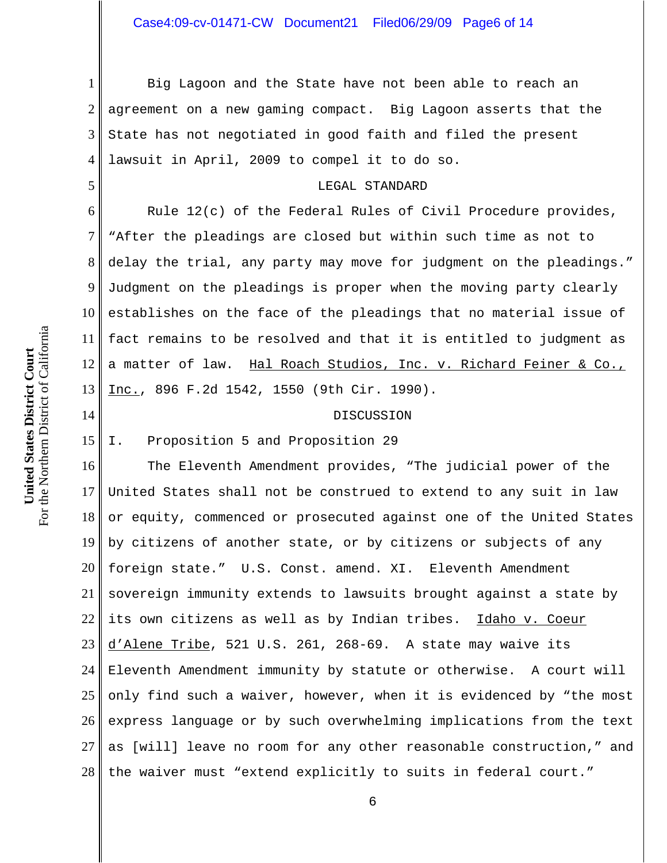1 2 3 4 Big Lagoon and the State have not been able to reach an agreement on a new gaming compact. Big Lagoon asserts that the State has not negotiated in good faith and filed the present lawsuit in April, 2009 to compel it to do so.

### LEGAL STANDARD

6 7 8 9 10 11 12 13 Rule 12(c) of the Federal Rules of Civil Procedure provides, "After the pleadings are closed but within such time as not to delay the trial, any party may move for judgment on the pleadings." Judgment on the pleadings is proper when the moving party clearly establishes on the face of the pleadings that no material issue of fact remains to be resolved and that it is entitled to judgment as a matter of law. Hal Roach Studios, Inc. v. Richard Feiner & Co., Inc., 896 F.2d 1542, 1550 (9th Cir. 1990).

### DISCUSSION

15 I. Proposition 5 and Proposition 29

16 17 18 19 20 21 22 23 24 25 26 27 28 The Eleventh Amendment provides, "The judicial power of the United States shall not be construed to extend to any suit in law or equity, commenced or prosecuted against one of the United States by citizens of another state, or by citizens or subjects of any foreign state." U.S. Const. amend. XI. Eleventh Amendment sovereign immunity extends to lawsuits brought against a state by its own citizens as well as by Indian tribes. Idaho v. Coeur d'Alene Tribe, 521 U.S. 261, 268-69. A state may waive its Eleventh Amendment immunity by statute or otherwise. A court will only find such a waiver, however, when it is evidenced by "the most express language or by such overwhelming implications from the text as [will] leave no room for any other reasonable construction," and the waiver must "extend explicitly to suits in federal court."

5

14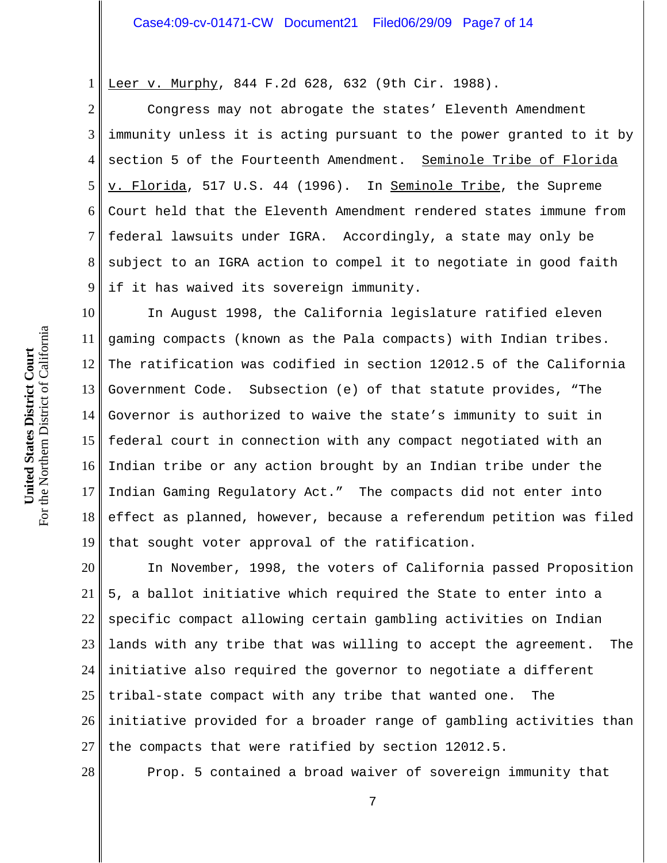1 Leer v. Murphy, 844 F.2d 628, 632 (9th Cir. 1988).

2 3 4 5 6 7 8 9 Congress may not abrogate the states' Eleventh Amendment immunity unless it is acting pursuant to the power granted to it by section 5 of the Fourteenth Amendment. Seminole Tribe of Florida v. Florida, 517 U.S. 44 (1996). In Seminole Tribe, the Supreme Court held that the Eleventh Amendment rendered states immune from federal lawsuits under IGRA. Accordingly, a state may only be subject to an IGRA action to compel it to negotiate in good faith if it has waived its sovereign immunity.

10 11 12 13 14 15 16 17 18 19 In August 1998, the California legislature ratified eleven gaming compacts (known as the Pala compacts) with Indian tribes. The ratification was codified in section 12012.5 of the California Government Code. Subsection (e) of that statute provides, "The Governor is authorized to waive the state's immunity to suit in federal court in connection with any compact negotiated with an Indian tribe or any action brought by an Indian tribe under the Indian Gaming Regulatory Act." The compacts did not enter into effect as planned, however, because a referendum petition was filed that sought voter approval of the ratification.

20 21 22 23 24 25 26 27 In November, 1998, the voters of California passed Proposition 5, a ballot initiative which required the State to enter into a specific compact allowing certain gambling activities on Indian lands with any tribe that was willing to accept the agreement. The initiative also required the governor to negotiate a different tribal-state compact with any tribe that wanted one. The initiative provided for a broader range of gambling activities than the compacts that were ratified by section 12012.5.

Prop. 5 contained a broad waiver of sovereign immunity that

7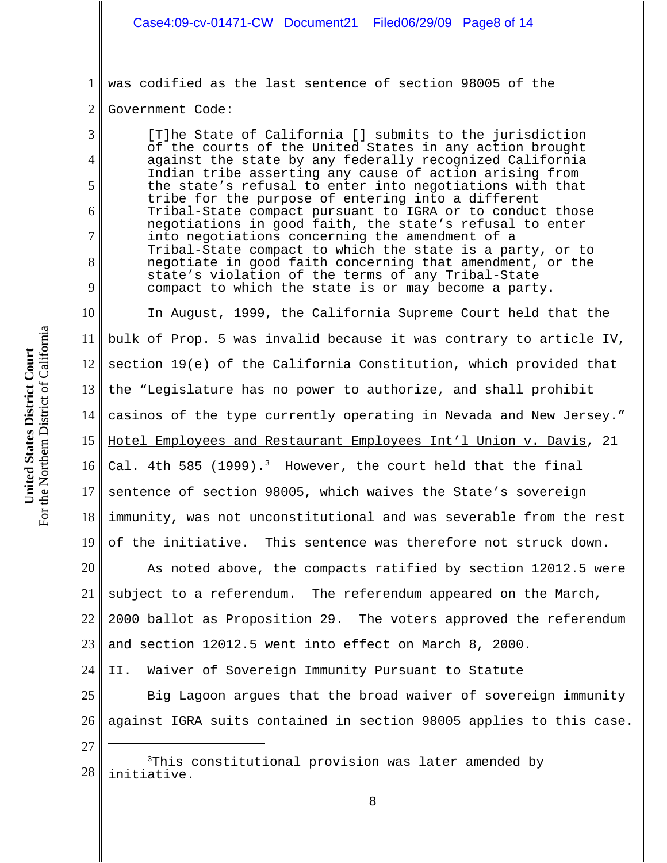1 was codified as the last sentence of section 98005 of the

#### 2 Government Code:

3

4

5

6

7

8

9

[T]he State of California [] submits to the jurisdiction of the courts of the United States in any action brought against the state by any federally recognized California Indian tribe asserting any cause of action arising from the state's refusal to enter into negotiations with that tribe for the purpose of entering into a different Tribal-State compact pursuant to IGRA or to conduct those negotiations in good faith, the state's refusal to enter into negotiations concerning the amendment of a Tribal-State compact to which the state is a party, or to negotiate in good faith concerning that amendment, or the state's violation of the terms of any Tribal-State compact to which the state is or may become a party.

10 11 12 13 14 15 16 17 18 19 In August, 1999, the California Supreme Court held that the bulk of Prop. 5 was invalid because it was contrary to article IV, section 19(e) of the California Constitution, which provided that the "Legislature has no power to authorize, and shall prohibit casinos of the type currently operating in Nevada and New Jersey." Hotel Employees and Restaurant Employees Int'l Union v. Davis, 21 Cal. 4th 585 (1999).<sup>3</sup> However, the court held that the final sentence of section 98005, which waives the State's sovereign immunity, was not unconstitutional and was severable from the rest of the initiative. This sentence was therefore not struck down.

20 21 22 23 As noted above, the compacts ratified by section 12012.5 were subject to a referendum. The referendum appeared on the March, 2000 ballot as Proposition 29. The voters approved the referendum and section 12012.5 went into effect on March 8, 2000.

24 II. Waiver of Sovereign Immunity Pursuant to Statute

25 26 Big Lagoon argues that the broad waiver of sovereign immunity against IGRA suits contained in section 98005 applies to this case.

<sup>28</sup> 3This constitutional provision was later amended by initiative.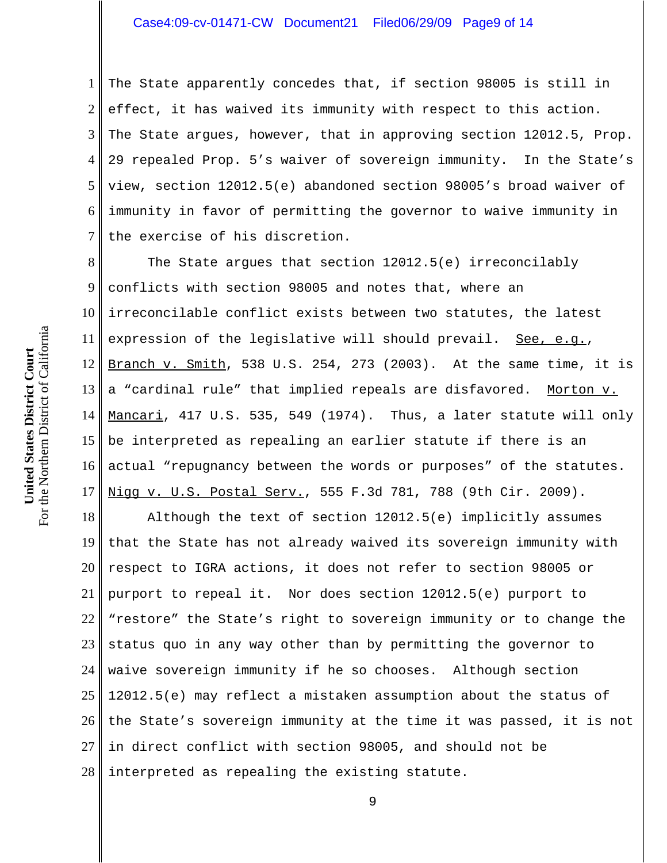## Case4:09-cv-01471-CW Document21 Filed06/29/09 Page9 of 14

1 2 3 4 5 6 7 The State apparently concedes that, if section 98005 is still in effect, it has waived its immunity with respect to this action. The State argues, however, that in approving section 12012.5, Prop. 29 repealed Prop. 5's waiver of sovereign immunity. In the State's view, section 12012.5(e) abandoned section 98005's broad waiver of immunity in favor of permitting the governor to waive immunity in the exercise of his discretion.

8 9 10 11 12 13 14 15 16 17 The State argues that section 12012.5(e) irreconcilably conflicts with section 98005 and notes that, where an irreconcilable conflict exists between two statutes, the latest expression of the legislative will should prevail. See, e.g., Branch v. Smith, 538 U.S. 254, 273 (2003). At the same time, it is a "cardinal rule" that implied repeals are disfavored. Morton v. Mancari, 417 U.S. 535, 549 (1974). Thus, a later statute will only be interpreted as repealing an earlier statute if there is an actual "repugnancy between the words or purposes" of the statutes. Nigg v. U.S. Postal Serv., 555 F.3d 781, 788 (9th Cir. 2009).

18 19 20 21 22 23 24 25 26 27 28 Although the text of section 12012.5(e) implicitly assumes that the State has not already waived its sovereign immunity with respect to IGRA actions, it does not refer to section 98005 or purport to repeal it. Nor does section 12012.5(e) purport to "restore" the State's right to sovereign immunity or to change the status quo in any way other than by permitting the governor to waive sovereign immunity if he so chooses. Although section 12012.5(e) may reflect a mistaken assumption about the status of the State's sovereign immunity at the time it was passed, it is not in direct conflict with section 98005, and should not be interpreted as repealing the existing statute.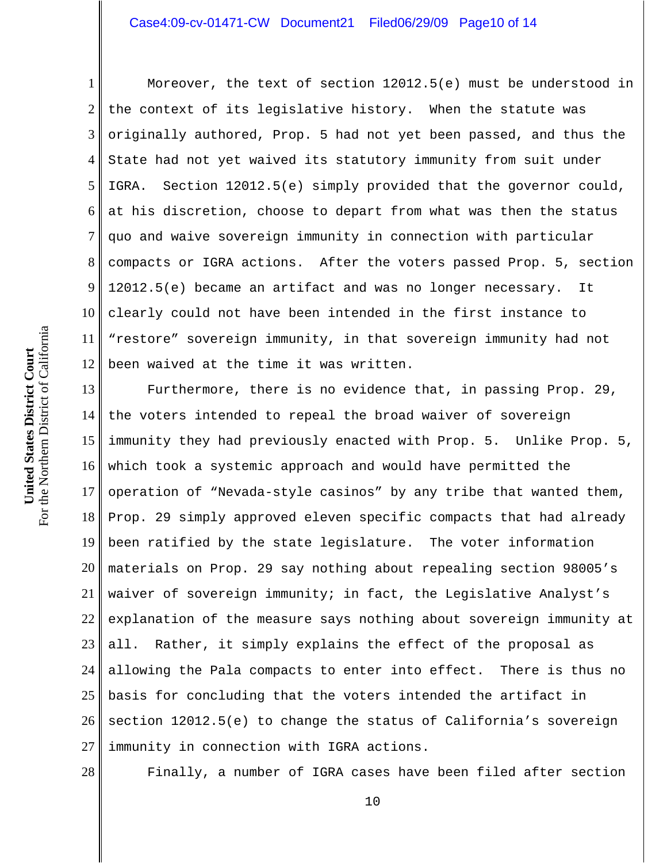## Case4:09-cv-01471-CW Document21 Filed06/29/09 Page10 of 14

1 2 3 4 5 6 7 8 9 10 11 12 Moreover, the text of section 12012.5(e) must be understood in the context of its legislative history. When the statute was originally authored, Prop. 5 had not yet been passed, and thus the State had not yet waived its statutory immunity from suit under IGRA. Section 12012.5(e) simply provided that the governor could, at his discretion, choose to depart from what was then the status quo and waive sovereign immunity in connection with particular compacts or IGRA actions. After the voters passed Prop. 5, section 12012.5(e) became an artifact and was no longer necessary. It clearly could not have been intended in the first instance to "restore" sovereign immunity, in that sovereign immunity had not been waived at the time it was written.

13 14 15 16 17 18 19 20 21 22 23 24 25 26 27 Furthermore, there is no evidence that, in passing Prop. 29, the voters intended to repeal the broad waiver of sovereign immunity they had previously enacted with Prop. 5. Unlike Prop. 5, which took a systemic approach and would have permitted the operation of "Nevada-style casinos" by any tribe that wanted them, Prop. 29 simply approved eleven specific compacts that had already been ratified by the state legislature. The voter information materials on Prop. 29 say nothing about repealing section 98005's waiver of sovereign immunity; in fact, the Legislative Analyst's explanation of the measure says nothing about sovereign immunity at all. Rather, it simply explains the effect of the proposal as allowing the Pala compacts to enter into effect. There is thus no basis for concluding that the voters intended the artifact in section 12012.5(e) to change the status of California's sovereign immunity in connection with IGRA actions.

28

Finally, a number of IGRA cases have been filed after section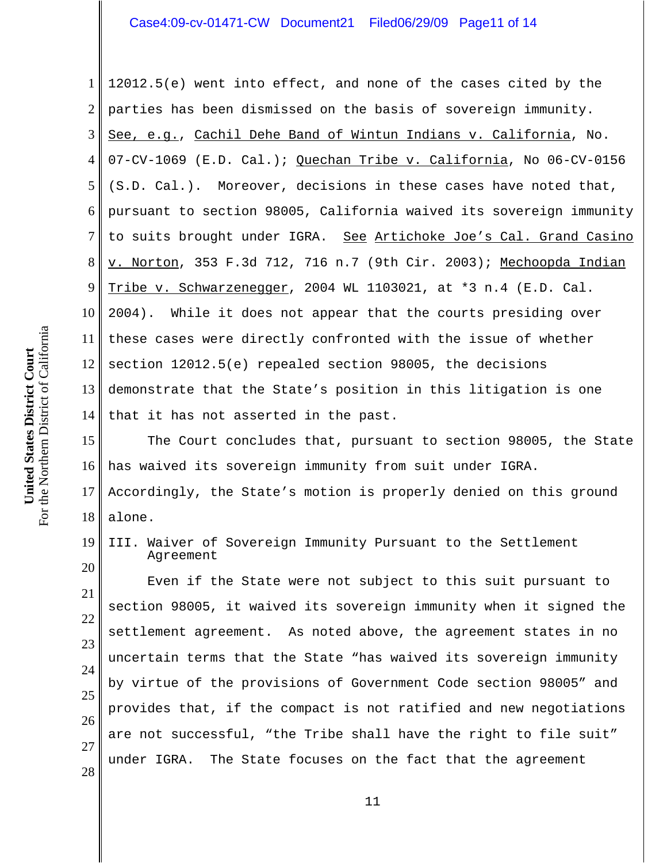1 2 3 4 5 6 7 8 9 10 11 12 13 14 12012.5(e) went into effect, and none of the cases cited by the parties has been dismissed on the basis of sovereign immunity. See, e.g., Cachil Dehe Band of Wintun Indians v. California, No. 07-CV-1069 (E.D. Cal.); Quechan Tribe v. California, No 06-CV-0156 (S.D. Cal.). Moreover, decisions in these cases have noted that, pursuant to section 98005, California waived its sovereign immunity to suits brought under IGRA. See Artichoke Joe's Cal. Grand Casino v. Norton, 353 F.3d 712, 716 n.7 (9th Cir. 2003); Mechoopda Indian Tribe v. Schwarzenegger, 2004 WL 1103021, at \*3 n.4 (E.D. Cal. 2004). While it does not appear that the courts presiding over these cases were directly confronted with the issue of whether section 12012.5(e) repealed section 98005, the decisions demonstrate that the State's position in this litigation is one that it has not asserted in the past.

15 16 17 18 The Court concludes that, pursuant to section 98005, the State has waived its sovereign immunity from suit under IGRA. Accordingly, the State's motion is properly denied on this ground alone.

19 20 III. Waiver of Sovereign Immunity Pursuant to the Settlement Agreement

21 22 25 28 Even if the State were not subject to this suit pursuant to section 98005, it waived its sovereign immunity when it signed the settlement agreement. As noted above, the agreement states in no uncertain terms that the State "has waived its sovereign immunity by virtue of the provisions of Government Code section 98005" and provides that, if the compact is not ratified and new negotiations are not successful, "the Tribe shall have the right to file suit" under IGRA. The State focuses on the fact that the agreement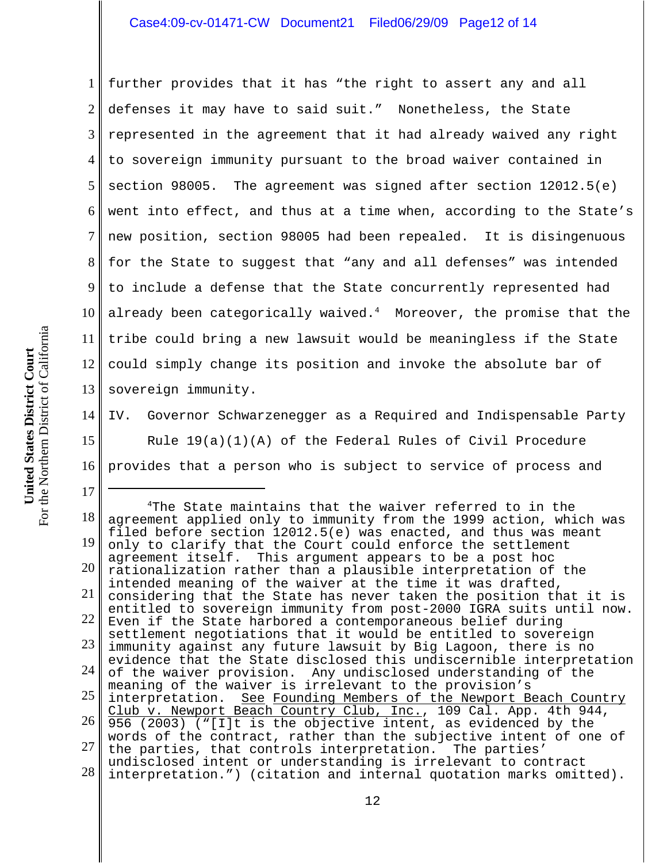## Case4:09-cv-01471-CW Document21 Filed06/29/09 Page12 of 14

1 2 3 4 5 6 7 8 9 10 11 12 13 further provides that it has "the right to assert any and all defenses it may have to said suit." Nonetheless, the State represented in the agreement that it had already waived any right to sovereign immunity pursuant to the broad waiver contained in section 98005. The agreement was signed after section  $12012.5(e)$ went into effect, and thus at a time when, according to the State's new position, section 98005 had been repealed. It is disingenuous for the State to suggest that "any and all defenses" was intended to include a defense that the State concurrently represented had already been categorically waived. $^4$  – Moreover, the promise that the tribe could bring a new lawsuit would be meaningless if the State could simply change its position and invoke the absolute bar of sovereign immunity.

14 15 16 IV. Governor Schwarzenegger as a Required and Indispensable Party Rule  $19(a)(1)(A)$  of the Federal Rules of Civil Procedure provides that a person who is subject to service of process and

18 19 20 21 22 23 24 25 26 27 28 4The State maintains that the waiver referred to in the agreement applied only to immunity from the 1999 action, which was filed before section 12012.5(e) was enacted, and thus was meant only to clarify that the Court could enforce the settlement agreement itself. This argument appears to be a post hoc rationalization rather than a plausible interpretation of the intended meaning of the waiver at the time it was drafted, considering that the State has never taken the position that it is entitled to sovereign immunity from post-2000 IGRA suits until now. Even if the State harbored a contemporaneous belief during settlement negotiations that it would be entitled to sovereign immunity against any future lawsuit by Big Lagoon, there is no evidence that the State disclosed this undiscernible interpretation of the waiver provision. Any undisclosed understanding of the meaning of the waiver is irrelevant to the provision's interpretation. See Founding Members of the Newport Beach Country Club v. Newport Beach Country Club, Inc., 109 Cal. App. 4th 944, 956 (2003) ("[I]t is the objective intent, as evidenced by the words of the contract, rather than the subjective intent of one of the parties, that controls interpretation. The parties' undisclosed intent or understanding is irrelevant to contract interpretation.") (citation and internal quotation marks omitted).

17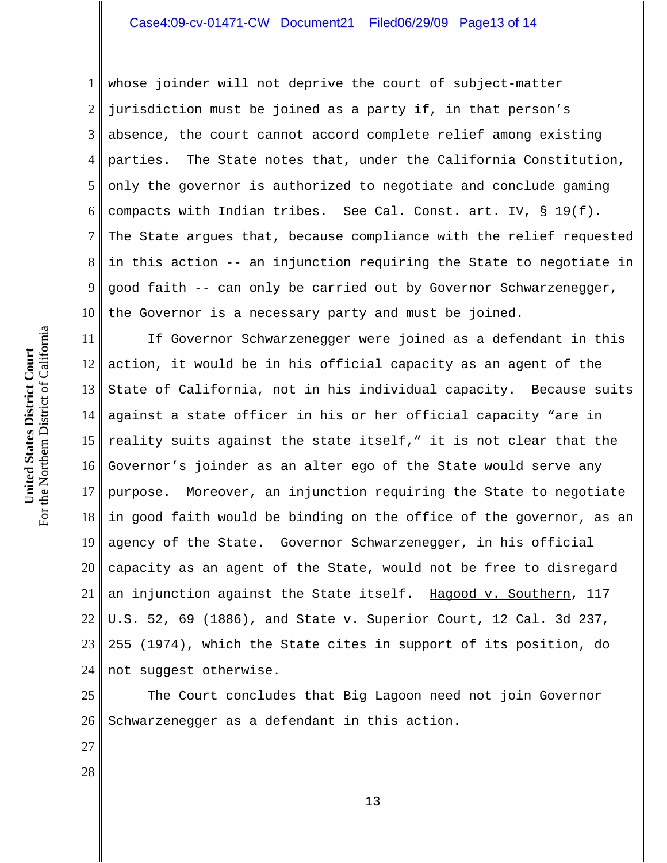1 2 3 4 5 6 7 8 9 10 whose joinder will not deprive the court of subject-matter jurisdiction must be joined as a party if, in that person's absence, the court cannot accord complete relief among existing parties. The State notes that, under the California Constitution, only the governor is authorized to negotiate and conclude gaming compacts with Indian tribes. See Cal. Const. art. IV, § 19(f). The State argues that, because compliance with the relief requested in this action -- an injunction requiring the State to negotiate in good faith -- can only be carried out by Governor Schwarzenegger, the Governor is a necessary party and must be joined.

11 12 13 14 15 16 17 18 19 20 21 22 23 24 If Governor Schwarzenegger were joined as a defendant in this action, it would be in his official capacity as an agent of the State of California, not in his individual capacity. Because suits against a state officer in his or her official capacity "are in reality suits against the state itself," it is not clear that the Governor's joinder as an alter ego of the State would serve any purpose. Moreover, an injunction requiring the State to negotiate in good faith would be binding on the office of the governor, as an agency of the State. Governor Schwarzenegger, in his official capacity as an agent of the State, would not be free to disregard an injunction against the State itself. Hagood v. Southern, 117 U.S. 52, 69 (1886), and State v. Superior Court, 12 Cal. 3d 237, 255 (1974), which the State cites in support of its position, do not suggest otherwise.

25 26 The Court concludes that Big Lagoon need not join Governor Schwarzenegger as a defendant in this action.

For the Northern District of California For the Northern District of California United States District Court **United States District Court**

27

28